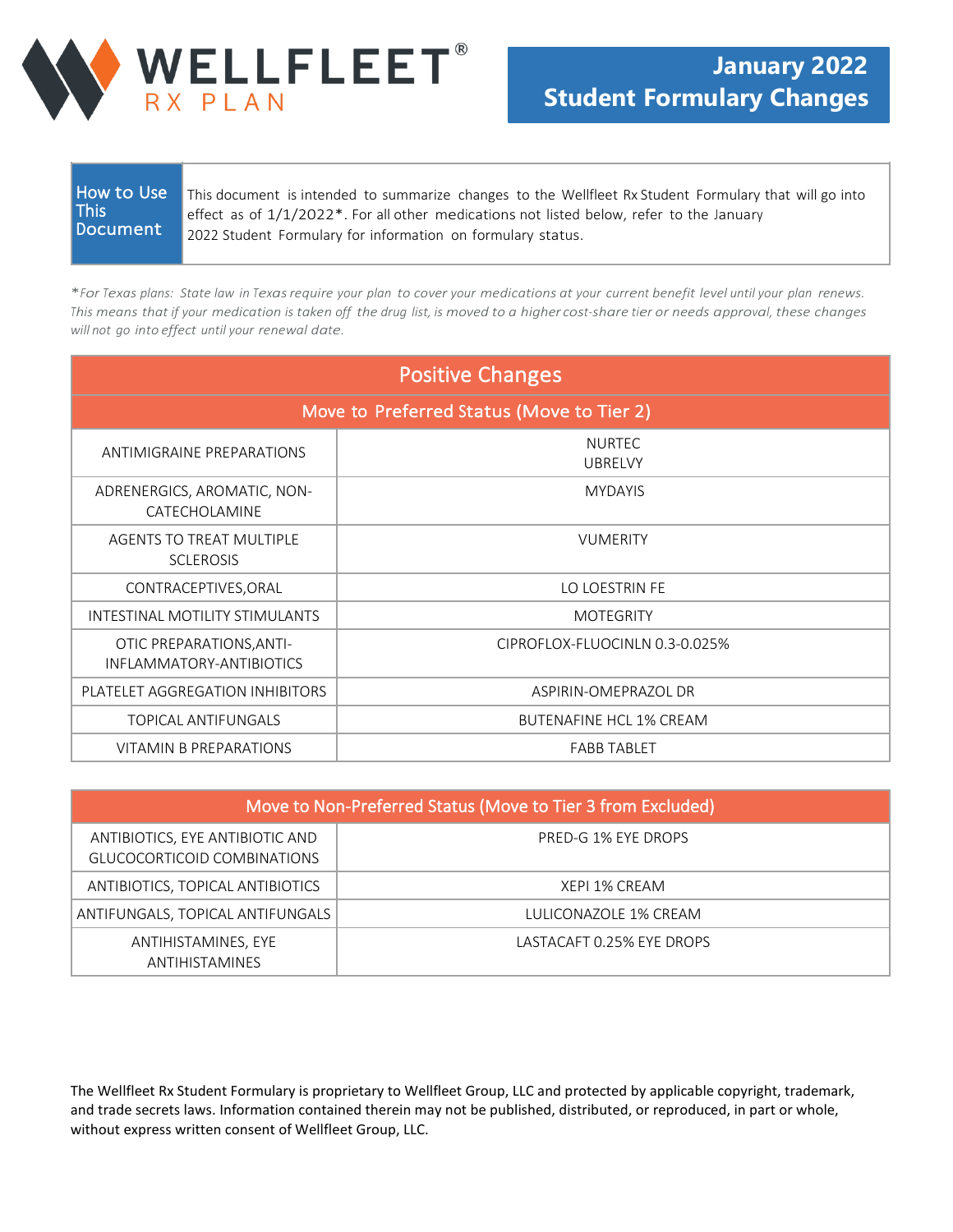

| <b>How to Use</b><br>This document is intended to summarize changes to the Wellfleet Rx Student Formulary that will go into<br><b>This</b><br>effect as of 1/1/2022*. For all other medications not listed below, refer to the January<br>Document<br>2022 Student Formulary for information on formulary status. |  |
|-------------------------------------------------------------------------------------------------------------------------------------------------------------------------------------------------------------------------------------------------------------------------------------------------------------------|--|
|-------------------------------------------------------------------------------------------------------------------------------------------------------------------------------------------------------------------------------------------------------------------------------------------------------------------|--|

\*For Texas plans: State law in Texas require your plan to cover your medications at your current benefit level until your plan renews. This means that if your medication is taken off the drug list, is moved to a higher cost-share tier or needs approval, these changes *will not go into effect until your renewal date.*

| <b>Positive Changes</b>                              |                                 |  |
|------------------------------------------------------|---------------------------------|--|
| Move to Preferred Status (Move to Tier 2)            |                                 |  |
| ANTIMIGRAINE PREPARATIONS                            | <b>NURTEC</b><br><b>UBRELVY</b> |  |
| ADRENERGICS, AROMATIC, NON-<br>CATECHOLAMINE         | <b>MYDAYIS</b>                  |  |
| AGENTS TO TREAT MULTIPLE<br><b>SCLEROSIS</b>         | <b>VUMERITY</b>                 |  |
| CONTRACEPTIVES, ORAL                                 | LO LOESTRIN FE                  |  |
| INTESTINAL MOTILITY STIMULANTS                       | <b>MOTEGRITY</b>                |  |
| OTIC PREPARATIONS, ANTI-<br>INFLAMMATORY-ANTIBIOTICS | CIPROFLOX-FLUOCINLN 0.3-0.025%  |  |
| PLATELET AGGREGATION INHIBITORS                      | ASPIRIN-OMEPRAZOL DR            |  |
| TOPICAL ANTIFUNGALS                                  | <b>BUTENAFINE HCL 1% CREAM</b>  |  |
| VITAMIN B PREPARATIONS                               | <b>FABB TABLET</b>              |  |

| Move to Non-Preferred Status (Move to Tier 3 from Excluded)    |                           |  |
|----------------------------------------------------------------|---------------------------|--|
| ANTIBIOTICS, EYE ANTIBIOTIC AND<br>GLUCOCORTICOID COMBINATIONS | PRED-G 1% EYE DROPS       |  |
| ANTIBIOTICS, TOPICAL ANTIBIOTICS                               | XEPI 1% CREAM             |  |
| ANTIFUNGALS, TOPICAL ANTIFUNGALS                               | LULICONAZOLE 1% CREAM     |  |
| ANTIHISTAMINES, EYE<br>ANTIHISTAMINES                          | LASTACAFT 0.25% EYE DROPS |  |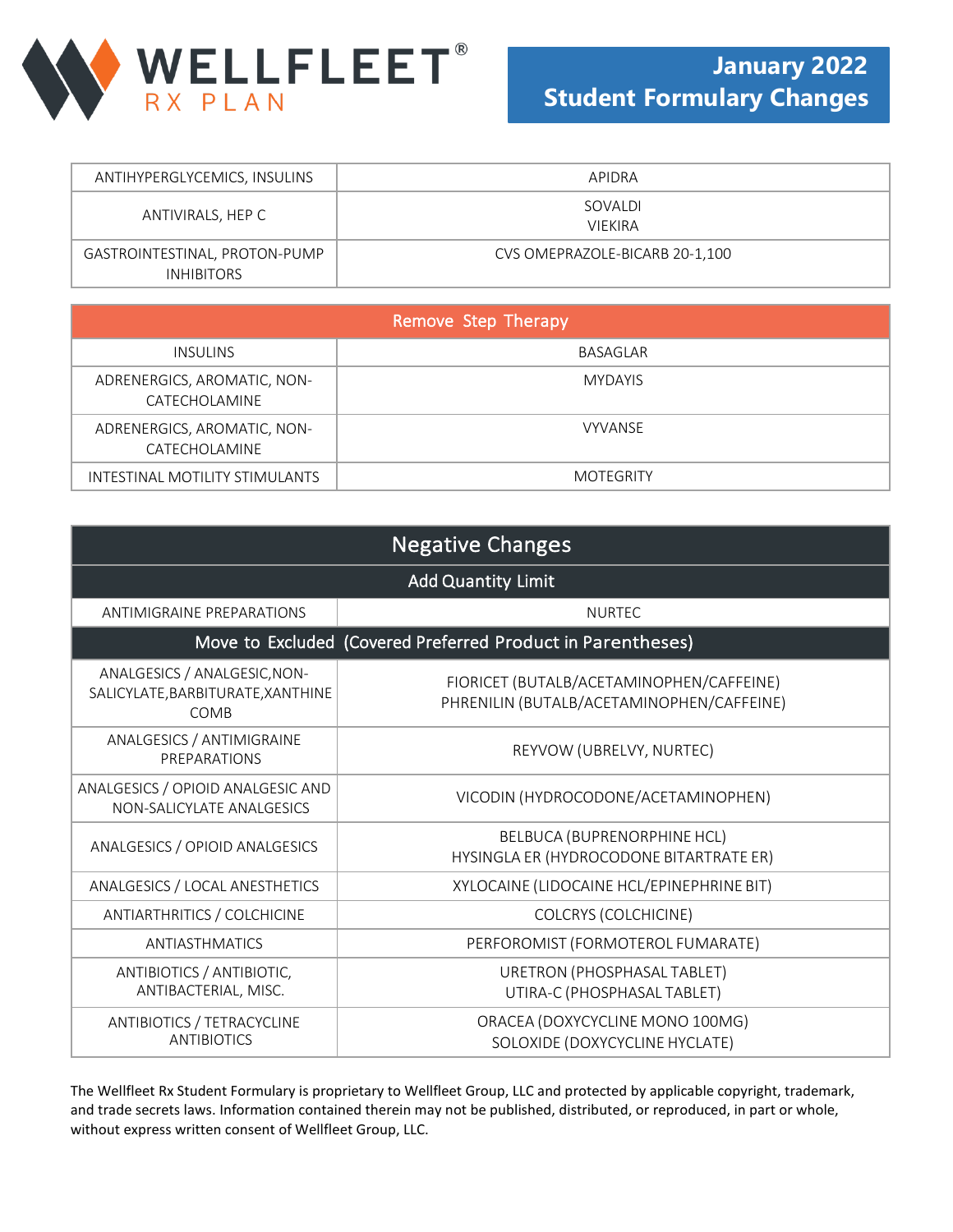

| ANTIHYPERGLYCEMICS, INSULINS                       | APIDRA                         |
|----------------------------------------------------|--------------------------------|
| ANTIVIRALS, HEP C                                  | SOVALDI<br><b>VIEKIRA</b>      |
| GASTROINTESTINAL, PROTON-PUMP<br><b>INHIBITORS</b> | CVS OMEPRAZOLE-BICARB 20-1,100 |

| Remove Step Therapy                          |                  |
|----------------------------------------------|------------------|
| INSULINS                                     | BASAGLAR         |
| ADRENERGICS, AROMATIC, NON-<br>CATECHOLAMINE | <b>MYDAYIS</b>   |
| ADRENERGICS, AROMATIC, NON-<br>CATECHOLAMINE | <b>VYVANSE</b>   |
| INTESTINAL MOTILITY STIMULANTS               | <b>MOTEGRITY</b> |

| <b>Negative Changes</b>                                                   |                                                                                       |  |
|---------------------------------------------------------------------------|---------------------------------------------------------------------------------------|--|
| <b>Add Quantity Limit</b>                                                 |                                                                                       |  |
| ANTIMIGRAINE PREPARATIONS                                                 | <b>NURTEC</b>                                                                         |  |
|                                                                           | Move to Excluded (Covered Preferred Product in Parentheses)                           |  |
| ANALGESICS / ANALGESIC, NON-<br>SALICYLATE, BARBITURATE, XANTHINE<br>COMB | FIORICET (BUTALB/ACETAMINOPHEN/CAFFEINE)<br>PHRENILIN (BUTALB/ACETAMINOPHEN/CAFFEINE) |  |
| ANALGESICS / ANTIMIGRAINE<br>PREPARATIONS                                 | REYVOW (UBRELVY, NURTEC)                                                              |  |
| ANALGESICS / OPIOID ANALGESIC AND<br>NON-SALICYLATE ANALGESICS            | VICODIN (HYDROCODONE/ACETAMINOPHEN)                                                   |  |
| ANALGESICS / OPIOID ANALGESICS                                            | BELBUCA (BUPRENORPHINE HCL)<br>HYSINGLA ER (HYDROCODONE BITARTRATE ER)                |  |
| ANALGESICS / LOCAL ANESTHETICS                                            | XYLOCAINE (LIDOCAINE HCL/EPINEPHRINE BIT)                                             |  |
| ANTIARTHRITICS / COLCHICINE                                               | <b>COLCRYS (COLCHICINE)</b>                                                           |  |
| ANTIASTHMATICS                                                            | PERFOROMIST (FORMOTEROL FUMARATE)                                                     |  |
| ANTIBIOTICS / ANTIBIOTIC,<br>ANTIBACTERIAL, MISC.                         | URETRON (PHOSPHASAL TABLET)<br>UTIRA-C (PHOSPHASAL TABLET)                            |  |
| ANTIBIOTICS / TETRACYCLINE<br><b>ANTIBIOTICS</b>                          | ORACEA (DOXYCYCLINE MONO 100MG)<br>SOLOXIDE (DOXYCYCLINE HYCLATE)                     |  |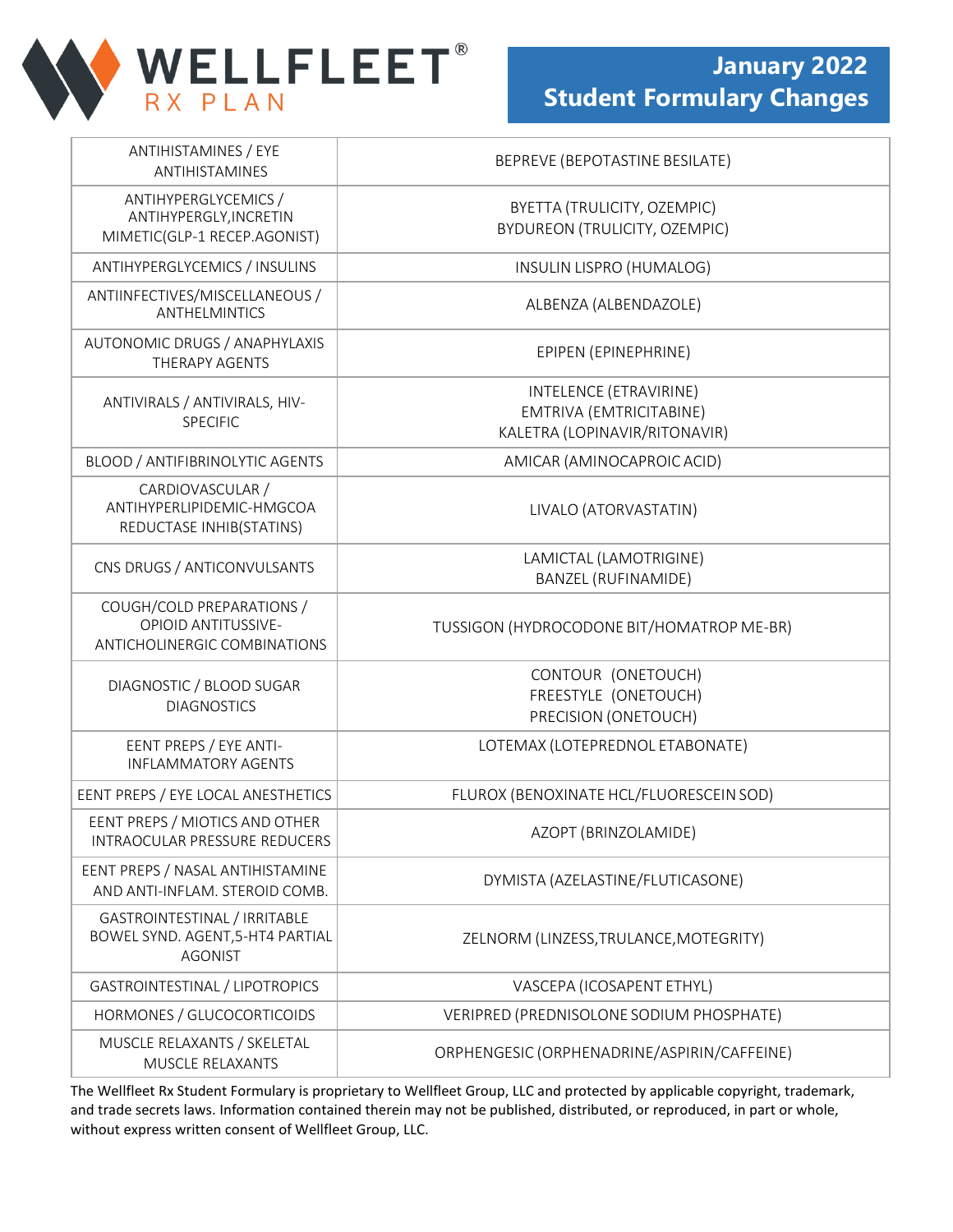

| <b>ANTIHISTAMINES / EYE</b><br>ANTIHISTAMINES                                           | BEPREVE (BEPOTASTINE BESILATE)                                                     |
|-----------------------------------------------------------------------------------------|------------------------------------------------------------------------------------|
| ANTIHYPERGLYCEMICS /<br>ANTIHYPERGLY, INCRETIN<br>MIMETIC(GLP-1 RECEP.AGONIST)          | BYETTA (TRULICITY, OZEMPIC)<br><b>BYDUREON (TRULICITY, OZEMPIC)</b>                |
| ANTIHYPERGLYCEMICS / INSULINS                                                           | INSULIN LISPRO (HUMALOG)                                                           |
| ANTIINFECTIVES/MISCELLANEOUS /<br><b>ANTHELMINTICS</b>                                  | ALBENZA (ALBENDAZOLE)                                                              |
| AUTONOMIC DRUGS / ANAPHYLAXIS<br><b>THERAPY AGENTS</b>                                  | EPIPEN (EPINEPHRINE)                                                               |
| ANTIVIRALS / ANTIVIRALS, HIV-<br><b>SPECIFIC</b>                                        | INTELENCE (ETRAVIRINE)<br>EMTRIVA (EMTRICITABINE)<br>KALETRA (LOPINAVIR/RITONAVIR) |
| BLOOD / ANTIFIBRINOLYTIC AGENTS                                                         | AMICAR (AMINOCAPROIC ACID)                                                         |
| CARDIOVASCULAR /<br>ANTIHYPERLIPIDEMIC-HMGCOA<br>REDUCTASE INHIB(STATINS)               | LIVALO (ATORVASTATIN)                                                              |
| CNS DRUGS / ANTICONVULSANTS                                                             | LAMICTAL (LAMOTRIGINE)<br><b>BANZEL (RUFINAMIDE)</b>                               |
| COUGH/COLD PREPARATIONS /<br><b>OPIOID ANTITUSSIVE-</b><br>ANTICHOLINERGIC COMBINATIONS | TUSSIGON (HYDROCODONE BIT/HOMATROP ME-BR)                                          |
| DIAGNOSTIC / BLOOD SUGAR<br><b>DIAGNOSTICS</b>                                          | CONTOUR (ONETOUCH)<br>FREESTYLE (ONETOUCH)<br>PRECISION (ONETOUCH)                 |
| EENT PREPS / EYE ANTI-<br><b>INFLAMMATORY AGENTS</b>                                    | LOTEMAX (LOTEPREDNOL ETABONATE)                                                    |
| EENT PREPS / EYE LOCAL ANESTHETICS                                                      | FLUROX (BENOXINATE HCL/FLUORESCEIN SOD)                                            |
| EENT PREPS / MIOTICS AND OTHER<br><b>INTRAOCULAR PRESSURE REDUCERS</b>                  | AZOPT (BRINZOLAMIDE)                                                               |
| EENT PREPS / NASAL ANTIHISTAMINE<br>AND ANTI-INFLAM. STEROID COMB.                      | DYMISTA (AZELASTINE/FLUTICASONE)                                                   |
| GASTROINTESTINAL / IRRITABLE<br>BOWEL SYND. AGENT, 5-HT4 PARTIAL<br><b>AGONIST</b>      | ZELNORM (LINZESS, TRULANCE, MOTEGRITY)                                             |
| GASTROINTESTINAL / LIPOTROPICS                                                          | VASCEPA (ICOSAPENT ETHYL)                                                          |
| HORMONES / GLUCOCORTICOIDS                                                              | VERIPRED (PREDNISOLONE SODIUM PHOSPHATE)                                           |
| MUSCLE RELAXANTS / SKELETAL<br>MUSCLE RELAXANTS                                         | ORPHENGESIC (ORPHENADRINE/ASPIRIN/CAFFEINE)                                        |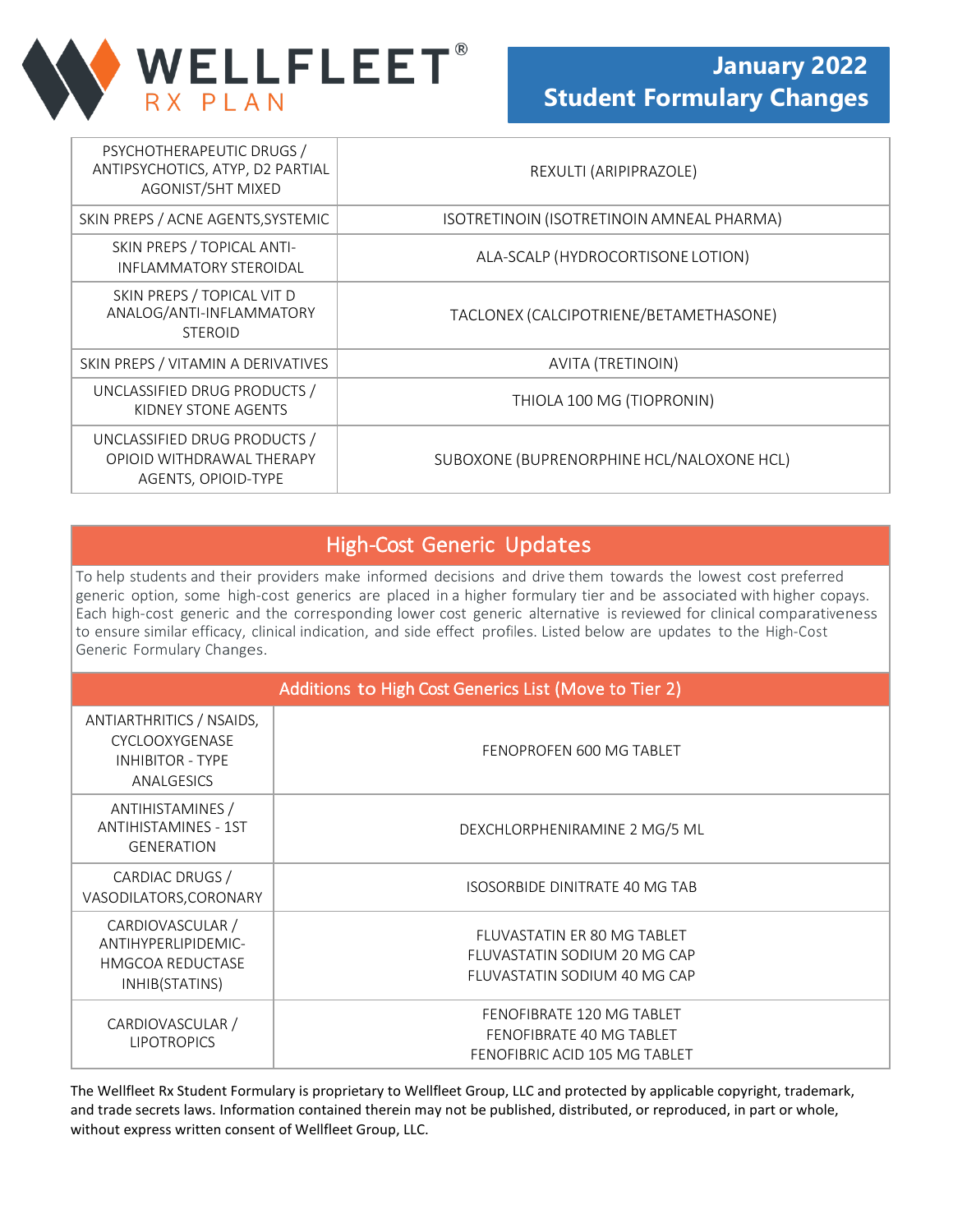

| PSYCHOTHERAPEUTIC DRUGS /<br>ANTIPSYCHOTICS, ATYP, D2 PARTIAL<br>AGONIST/5HT MIXED | REXULTI (ARIPIPRAZOLE)                    |
|------------------------------------------------------------------------------------|-------------------------------------------|
| SKIN PREPS / ACNE AGENTS, SYSTEMIC                                                 | ISOTRETINOIN (ISOTRETINOIN AMNEAL PHARMA) |
| SKIN PREPS / TOPICAL ANTI-<br><b>INFLAMMATORY STEROIDAL</b>                        | ALA-SCALP (HYDROCORTISONE LOTION)         |
| SKIN PREPS / TOPICAL VIT D<br>ANALOG/ANTI-INFLAMMATORY<br><b>STEROID</b>           | TACLONEX (CALCIPOTRIENE/BETAMETHASONE)    |
| SKIN PREPS / VITAMIN A DERIVATIVES                                                 | AVITA (TRETINOIN)                         |
| UNCLASSIFIED DRUG PRODUCTS /<br>KIDNEY STONE AGENTS                                | THIOLA 100 MG (TIOPRONIN)                 |
| UNCLASSIFIED DRUG PRODUCTS /<br>OPIOID WITHDRAWAL THERAPY<br>AGENTS, OPIOID-TYPE   | SUBOXONE (BUPRENORPHINE HCL/NALOXONE HCL) |

## High-Cost Generic Updates

To help students and their providers make informed decisions and drive them towards the lowest cost preferred generic option, some high-cost generics are placed in a higher formulary tier and be associated with higher copays. Each high-cost generic and the corresponding lower cost generic alternative is reviewed for clinical comparativeness to ensure similar efficacy, clinical indication, and side effect profiles. Listed below are updates to the High-Cost Generic Formulary Changes.

| Additions to High Cost Generics List (Move to Tier 2)                                |                                                                                             |
|--------------------------------------------------------------------------------------|---------------------------------------------------------------------------------------------|
| ANTIARTHRITICS / NSAIDS,<br>CYCLOOXYGENASE<br><b>INHIBITOR - TYPE</b><br>ANALGESICS  | FENOPROFEN 600 MG TABLET                                                                    |
| ANTIHISTAMINES /<br><b>ANTIHISTAMINES - 1ST</b><br><b>GENERATION</b>                 | DEXCHLORPHENIRAMINE 2 MG/5 ML                                                               |
| CARDIAC DRUGS /<br>VASODILATORS, CORONARY                                            | <b>ISOSORBIDE DINITRATE 40 MG TAB</b>                                                       |
| CARDIOVASCULAR /<br>ANTIHYPERLIPIDEMIC-<br><b>HMGCOA REDUCTASE</b><br>INHIB(STATINS) | FLUVASTATIN ER 80 MG TABLET<br>FLUVASTATIN SODIUM 20 MG CAP<br>FLUVASTATIN SODIUM 40 MG CAP |
| CARDIOVASCULAR /<br><b>LIPOTROPICS</b>                                               | FENOFIBRATE 120 MG TABLET<br>FENOFIBRATE 40 MG TABLET<br>FENOFIBRIC ACID 105 MG TABLET      |